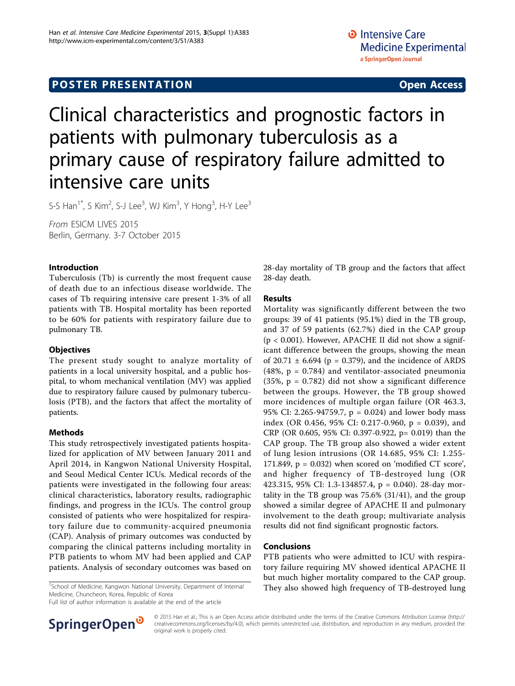# Clinical characteristics and prognostic factors in patients with pulmonary tuberculosis as a primary cause of respiratory failure admitted to intensive care units

S-S Han $^{1*}$ , S Kim $^2$ , S-J Lee $^3$ , WJ Kim $^3$ , Y Hong $^3$ , H-Y Lee $^3$ 

From ESICM LIVES 2015 Berlin, Germany. 3-7 October 2015

#### Introduction

Tuberculosis (Tb) is currently the most frequent cause of death due to an infectious disease worldwide. The cases of Tb requiring intensive care present 1-3% of all patients with TB. Hospital mortality has been reported to be 60% for patients with respiratory failure due to pulmonary TB.

### **Objectives**

The present study sought to analyze mortality of patients in a local university hospital, and a public hospital, to whom mechanical ventilation (MV) was applied due to respiratory failure caused by pulmonary tuberculosis (PTB), and the factors that affect the mortality of patients.

#### Methods

This study retrospectively investigated patients hospitalized for application of MV between January 2011 and April 2014, in Kangwon National University Hospital, and Seoul Medical Center ICUs. Medical records of the patients were investigated in the following four areas: clinical characteristics, laboratory results, radiographic findings, and progress in the ICUs. The control group consisted of patients who were hospitalized for respiratory failure due to community-acquired pneumonia (CAP). Analysis of primary outcomes was conducted by comparing the clinical patterns including mortality in PTB patients to whom MV had been applied and CAP patients. Analysis of secondary outcomes was based on

<sup>1</sup>School of Medicine, Kangwon National University, Department of Internal Medicine, Chuncheon, Korea, Republic of Korea

Full list of author information is available at the end of the article



28-day mortality of TB group and the factors that affect 28-day death.

#### Results

Mortality was significantly different between the two groups: 39 of 41 patients (95.1%) died in the TB group, and 37 of 59 patients (62.7%) died in the CAP group  $(p < 0.001)$ . However, APACHE II did not show a significant difference between the groups, showing the mean of 20.71  $\pm$  6.694 (p = 0.379), and the incidence of ARDS  $(48\%, p = 0.784)$  and ventilator-associated pneumonia  $(35\%, p = 0.782)$  did not show a significant difference between the groups. However, the TB group showed more incidences of multiple organ failure (OR 463.3, 95% CI: 2.265-94759.7, p = 0.024) and lower body mass index (OR 0.456, 95% CI: 0.217-0.960, p = 0.039), and CRP (OR 0.605, 95% CI: 0.397-0.922, p= 0.019) than the CAP group. The TB group also showed a wider extent of lung lesion intrusions (OR 14.685, 95% CI: 1.255- 171.849,  $p = 0.032$ ) when scored on 'modified CT score', and higher frequency of TB-destroyed lung (OR 423.315, 95% CI: 1.3-134857.4, p = 0.040). 28-day mortality in the TB group was 75.6% (31/41), and the group showed a similar degree of APACHE II and pulmonary involvement to the death group; multivariate analysis results did not find significant prognostic factors.

#### Conclusions

PTB patients who were admitted to ICU with respiratory failure requiring MV showed identical APACHE II but much higher mortality compared to the CAP group. They also showed high frequency of TB-destroyed lung <sup>1</sup>

© 2015 Han et al.; This is an Open Access article distributed under the terms of the Creative Commons Attribution License [\(http://](http://creativecommons.org/licenses/by/4.0) [creativecommons.org/licenses/by/4.0](http://creativecommons.org/licenses/by/4.0)), which permits unrestricted use, distribution, and reproduction in any medium, provided the original work is properly cited.